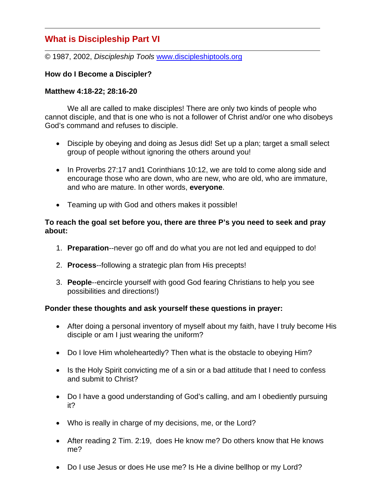# **What is Discipleship Part VI**

© 1987, 2002, *Discipleship Tools* www.discipleshiptools.org

# **How do I Become a Discipler?**

### **Matthew 4:18-22; 28:16-20**

 We all are called to make disciples! There are only two kinds of people who cannot disciple, and that is one who is not a follower of Christ and/or one who disobeys God's command and refuses to disciple.

- Disciple by obeying and doing as Jesus did! Set up a plan; target a small select group of people without ignoring the others around you!
- In Proverbs 27:17 and1 Corinthians 10:12, we are told to come along side and encourage those who are down, who are new, who are old, who are immature, and who are mature. In other words, **everyone**.
- Teaming up with God and others makes it possible!

### **To reach the goal set before you, there are three P's you need to seek and pray about:**

- 1. **Preparation**--never go off and do what you are not led and equipped to do!
- 2. **Process**--following a strategic plan from His precepts!
- 3. **People**--encircle yourself with good God fearing Christians to help you see possibilities and directions!)

# **Ponder these thoughts and ask yourself these questions in prayer:**

- After doing a personal inventory of myself about my faith, have I truly become His disciple or am I just wearing the uniform?
- Do I love Him wholeheartedly? Then what is the obstacle to obeying Him?
- Is the Holy Spirit convicting me of a sin or a bad attitude that I need to confess and submit to Christ?
- Do I have a good understanding of God's calling, and am I obediently pursuing it?
- Who is really in charge of my decisions, me, or the Lord?
- After reading 2 Tim. 2:19, does He know me? Do others know that He knows me?
- Do I use Jesus or does He use me? Is He a divine bellhop or my Lord?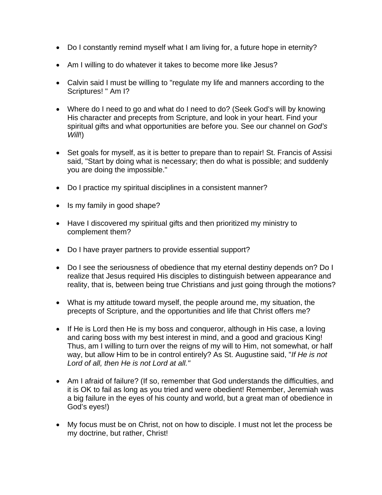- Do I constantly remind myself what I am living for, a future hope in eternity?
- Am I willing to do whatever it takes to become more like Jesus?
- Calvin said I must be willing to "regulate my life and manners according to the Scriptures! " Am I?
- Where do I need to go and what do I need to do? (Seek God's will by knowing His character and precepts from Scripture, and look in your heart. Find your spiritual gifts and what opportunities are before you. See our channel on *God's Will*!)
- Set goals for myself, as it is better to prepare than to repair! St. Francis of Assisi said, "Start by doing what is necessary; then do what is possible; and suddenly you are doing the impossible."
- Do I practice my spiritual disciplines in a consistent manner?
- Is my family in good shape?
- Have I discovered my spiritual gifts and then prioritized my ministry to complement them?
- Do I have prayer partners to provide essential support?
- Do I see the seriousness of obedience that my eternal destiny depends on? Do I realize that Jesus required His disciples to distinguish between appearance and reality, that is, between being true Christians and just going through the motions?
- What is my attitude toward myself, the people around me, my situation, the precepts of Scripture, and the opportunities and life that Christ offers me?
- If He is Lord then He is my boss and conqueror, although in His case, a loving and caring boss with my best interest in mind, and a good and gracious King! Thus, am I willing to turn over the reigns of my will to Him, not somewhat, or half way, but allow Him to be in control entirely? As St. Augustine said, "*If He is not Lord of all, then He is not Lord at all."*
- Am I afraid of failure? (If so, remember that God understands the difficulties, and it is OK to fail as long as you tried and were obedient! Remember, Jeremiah was a big failure in the eyes of his county and world, but a great man of obedience in God's eyes!)
- My focus must be on Christ, not on how to disciple. I must not let the process be my doctrine, but rather, Christ!